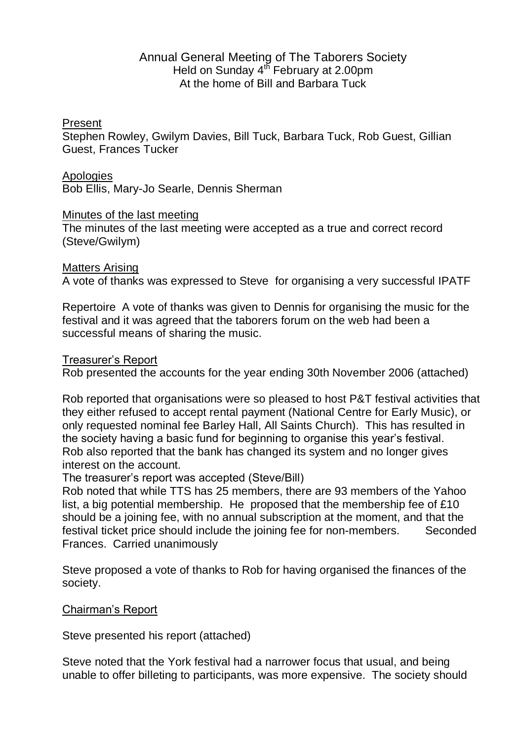# Annual General Meeting of The Taborers Society Held on Sunday 4<sup>th</sup> February at 2.00pm At the home of Bill and Barbara Tuck

## Present

Stephen Rowley, Gwilym Davies, Bill Tuck, Barbara Tuck, Rob Guest, Gillian Guest, Frances Tucker

#### Apologies

Bob Ellis, Mary-Jo Searle, Dennis Sherman

#### Minutes of the last meeting

The minutes of the last meeting were accepted as a true and correct record (Steve/Gwilym)

#### Matters Arising

A vote of thanks was expressed to Steve for organising a very successful IPATF

Repertoire A vote of thanks was given to Dennis for organising the music for the festival and it was agreed that the taborers forum on the web had been a successful means of sharing the music.

#### Treasurer's Report

Rob presented the accounts for the year ending 30th November 2006 (attached)

Rob reported that organisations were so pleased to host P&T festival activities that they either refused to accept rental payment (National Centre for Early Music), or only requested nominal fee Barley Hall, All Saints Church). This has resulted in the society having a basic fund for beginning to organise this year's festival. Rob also reported that the bank has changed its system and no longer gives interest on the account.

The treasurer's report was accepted (Steve/Bill)

Rob noted that while TTS has 25 members, there are 93 members of the Yahoo list, a big potential membership. He proposed that the membership fee of £10 should be a joining fee, with no annual subscription at the moment, and that the festival ticket price should include the joining fee for non-members. Seconded Frances. Carried unanimously

Steve proposed a vote of thanks to Rob for having organised the finances of the society.

## Chairman's Report

Steve presented his report (attached)

Steve noted that the York festival had a narrower focus that usual, and being unable to offer billeting to participants, was more expensive. The society should